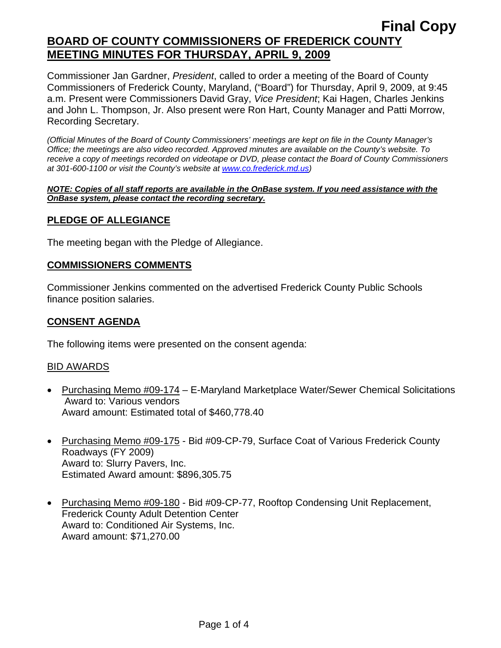# **Final Copy BOARD OF COUNTY COMMISSIONERS OF FREDERICK COUNTY MEETING MINUTES FOR THURSDAY, APRIL 9, 2009**

Commissioner Jan Gardner, *President*, called to order a meeting of the Board of County Commissioners of Frederick County, Maryland, ("Board") for Thursday, April 9, 2009, at 9:45 a.m. Present were Commissioners David Gray, *Vice President*; Kai Hagen, Charles Jenkins and John L. Thompson, Jr. Also present were Ron Hart, County Manager and Patti Morrow, Recording Secretary.

*(Official Minutes of the Board of County Commissioners' meetings are kept on file in the County Manager's Office; the meetings are also video recorded. Approved minutes are available on the County's website. To receive a copy of meetings recorded on videotape or DVD, please contact the Board of County Commissioners at 301-600-1100 or visit the County's website at [www.co.frederick.md.us\)](http://www.co.frederick.md.us/)* 

#### *NOTE: Copies of all staff reports are available in the OnBase system. If you need assistance with the OnBase system, please contact the recording secretary.*

### **PLEDGE OF ALLEGIANCE**

The meeting began with the Pledge of Allegiance.

#### **COMMISSIONERS COMMENTS**

Commissioner Jenkins commented on the advertised Frederick County Public Schools finance position salaries.

#### **CONSENT AGENDA**

The following items were presented on the consent agenda:

#### BID AWARDS

- Purchasing Memo #09-174 E-Maryland Marketplace Water/Sewer Chemical Solicitations Award to: Various vendors Award amount: Estimated total of \$460,778.40
- Purchasing Memo #09-175 Bid #09-CP-79, Surface Coat of Various Frederick County Roadways (FY 2009) Award to: Slurry Pavers, Inc. Estimated Award amount: \$896,305.75
- Purchasing Memo #09-180 Bid #09-CP-77, Rooftop Condensing Unit Replacement, Frederick County Adult Detention Center Award to: Conditioned Air Systems, Inc. Award amount: \$71,270.00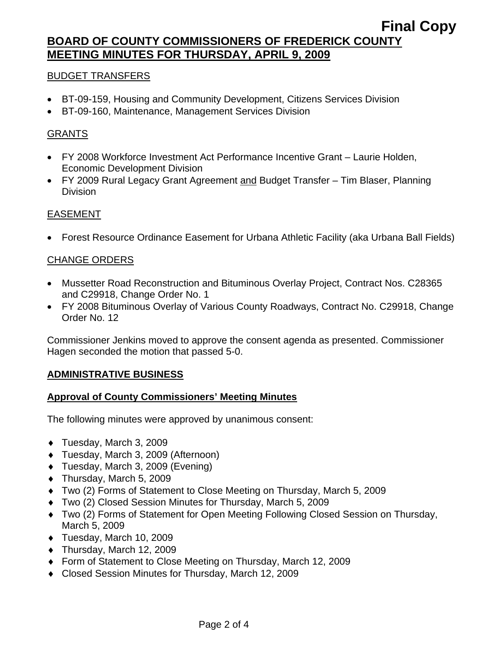## **Final Copy BOARD OF COUNTY COMMISSIONERS OF FREDERICK COUNTY MEETING MINUTES FOR THURSDAY, APRIL 9, 2009**

### BUDGET TRANSFERS

- BT-09-159, Housing and Community Development, Citizens Services Division
- BT-09-160, Maintenance, Management Services Division

### GRANTS

- FY 2008 Workforce Investment Act Performance Incentive Grant Laurie Holden, Economic Development Division
- FY 2009 Rural Legacy Grant Agreement and Budget Transfer Tim Blaser, Planning Division

### EASEMENT

• Forest Resource Ordinance Easement for Urbana Athletic Facility (aka Urbana Ball Fields)

### CHANGE ORDERS

- Mussetter Road Reconstruction and Bituminous Overlay Project, Contract Nos. C28365 and C29918, Change Order No. 1
- FY 2008 Bituminous Overlay of Various County Roadways, Contract No. C29918, Change Order No. 12

Commissioner Jenkins moved to approve the consent agenda as presented. Commissioner Hagen seconded the motion that passed 5-0.

#### **ADMINISTRATIVE BUSINESS**

#### **Approval of County Commissioners' Meeting Minutes**

The following minutes were approved by unanimous consent:

- ♦ Tuesday, March 3, 2009
- ♦ Tuesday, March 3, 2009 (Afternoon)
- ♦ Tuesday, March 3, 2009 (Evening)
- ♦ Thursday, March 5, 2009
- ♦ Two (2) Forms of Statement to Close Meeting on Thursday, March 5, 2009
- ♦ Two (2) Closed Session Minutes for Thursday, March 5, 2009
- ♦ Two (2) Forms of Statement for Open Meeting Following Closed Session on Thursday, March 5, 2009
- ♦ Tuesday, March 10, 2009
- ♦ Thursday, March 12, 2009
- ♦ Form of Statement to Close Meeting on Thursday, March 12, 2009
- ♦ Closed Session Minutes for Thursday, March 12, 2009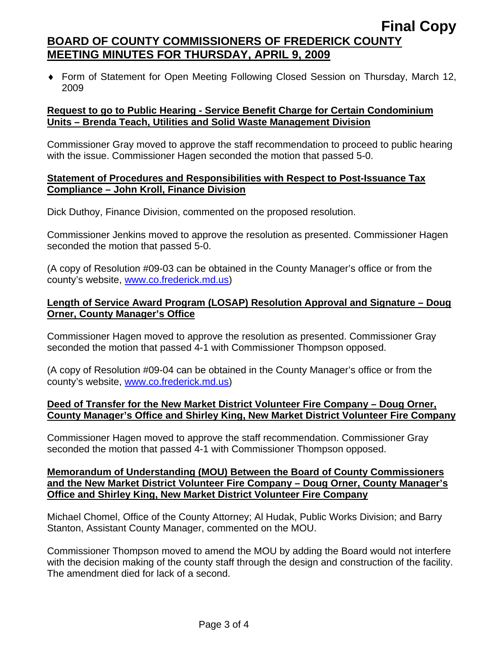# **BOARD OF COUNTY COMMISSIONERS OF FREDERICK COUNTY MEETING MINUTES FOR THURSDAY, APRIL 9, 2009**

♦ Form of Statement for Open Meeting Following Closed Session on Thursday, March 12, 2009

#### **Request to go to Public Hearing - Service Benefit Charge for Certain Condominium Units – Brenda Teach, Utilities and Solid Waste Management Division**

Commissioner Gray moved to approve the staff recommendation to proceed to public hearing with the issue. Commissioner Hagen seconded the motion that passed 5-0.

#### **Statement of Procedures and Responsibilities with Respect to Post-Issuance Tax Compliance – John Kroll, Finance Division**

Dick Duthoy, Finance Division, commented on the proposed resolution.

Commissioner Jenkins moved to approve the resolution as presented. Commissioner Hagen seconded the motion that passed 5-0.

(A copy of Resolution #09-03 can be obtained in the County Manager's office or from the county's website, [www.co.frederick.md.us\)](www.co.frederick.md.us)

### **Length of Service Award Program (LOSAP) Resolution Approval and Signature – Doug Orner, County Manager's Office**

Commissioner Hagen moved to approve the resolution as presented. Commissioner Gray seconded the motion that passed 4-1 with Commissioner Thompson opposed.

(A copy of Resolution #09-04 can be obtained in the County Manager's office or from the county's website, [www.co.frederick.md.us\)](www.co.frederick.md.us)

#### **Deed of Transfer for the New Market District Volunteer Fire Company – Doug Orner, County Manager's Office and Shirley King, New Market District Volunteer Fire Company**

Commissioner Hagen moved to approve the staff recommendation. Commissioner Gray seconded the motion that passed 4-1 with Commissioner Thompson opposed.

#### **Memorandum of Understanding (MOU) Between the Board of County Commissioners and the New Market District Volunteer Fire Company – Doug Orner, County Manager's Office and Shirley King, New Market District Volunteer Fire Company**

Michael Chomel, Office of the County Attorney; Al Hudak, Public Works Division; and Barry Stanton, Assistant County Manager, commented on the MOU.

Commissioner Thompson moved to amend the MOU by adding the Board would not interfere with the decision making of the county staff through the design and construction of the facility. The amendment died for lack of a second.